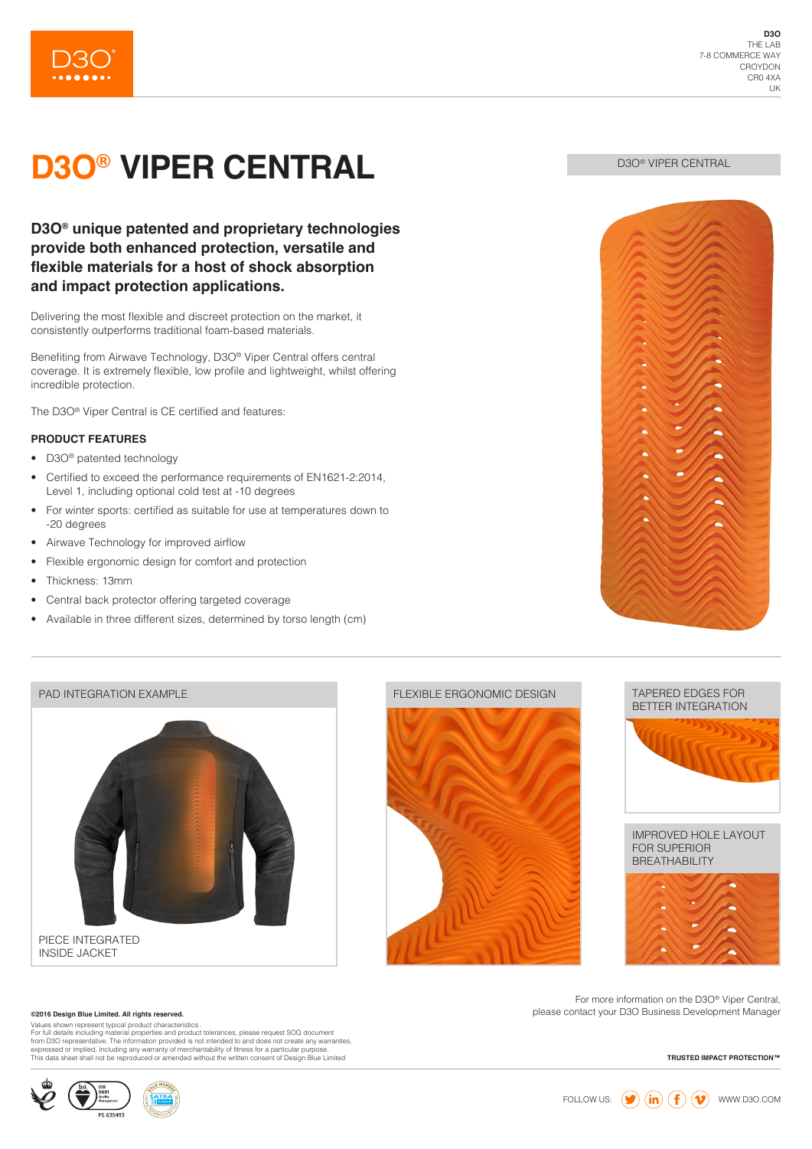

# **D3O® VIPER CENTRAL**

### **D3O® unique patented and proprietary technologies provide both enhanced protection, versatile and flexible materials for a host of shock absorption and impact protection applications.**

Delivering the most flexible and discreet protection on the market, it consistently outperforms traditional foam-based materials.

Benefiting from Airwave Technology, D3O® Viper Central offers central coverage. It is extremely flexible, low profile and lightweight, whilst offering incredible protection.

The D3O® Viper Central is CE certified and features:

### **PRODUCT FEATURES**

- D30<sup>®</sup> patented technology
- Certified to exceed the performance requirements of EN1621-2:2014, Level 1, including optional cold test at -10 degrees
- For winter sports: certified as suitable for use at temperatures down to -20 degrees
- Airwave Technology for improved airflow
- Flexible ergonomic design for comfort and protection
- Thickness: 13mm
- Central back protector offering targeted coverage
- Available in three different sizes, determined by torso length (cm)



**D3O® VIPER CENTRAL** 

### PAD INTEGRATION EXAMPLE



INSIDE JACKET

#### **©2016 Design Blue Limited. All rights reserved.**

Values shown represent typical product characteristics.<br>For full details including material properties and product tolerances, please request SOQ document<br>from D3O representative. The information provided is not intended t

#### FLEXIBLE ERGONOMIC DESIGN TAPERED EDGES FOR







For more information on the D3O® Viper Central, please contact your D3O Business Development Manager